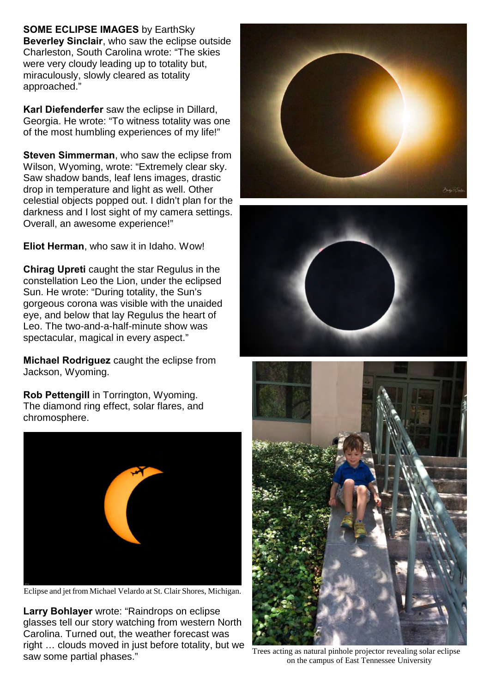**SOME ECLIPSE IMAGES** by EarthSky **Beverley Sinclair**, who saw the eclipse outside Charleston, South Carolina wrote: "The skies were very cloudy leading up to totality but, miraculously, slowly cleared as totality approached."

**Karl Diefenderfer** saw the eclipse in Dillard, Georgia. He wrote: "To witness totality was one of the most humbling experiences of my life!"

**Steven Simmerman**, who saw the eclipse from Wilson, Wyoming, wrote: "Extremely clear sky. Saw shadow bands, leaf lens images, drastic drop in temperature and light as well. Other celestial objects popped out. I didn't plan for the darkness and I lost sight of my camera settings. Overall, an awesome experience!"

**Eliot Herman**, who saw it in Idaho. Wow!

**Chirag Upreti** caught the star Regulus in the constellation Leo the Lion, under the eclipsed Sun. He wrote: "During totality, the Sun's gorgeous corona was visible with the unaided eye, and below that lay Regulus the heart of Leo. The two-and-a-half-minute show was spectacular, magical in every aspect."

**Michael Rodriguez** caught the eclipse from Jackson, Wyoming.

**Rob Pettengill** in Torrington, Wyoming. The diamond ring effect, solar flares, and chromosphere.



Eclipse and jet from Michael Velardo at St. Clair Shores, Michigan.

**Larry Bohlayer** wrote: "Raindrops on eclipse glasses tell our story watching from western North Carolina. Turned out, the weather forecast was right … clouds moved in just before totality, but we saw some partial phases."







Trees acting as natural pinhole projector revealing solar eclipse on the campus of East Tennessee University